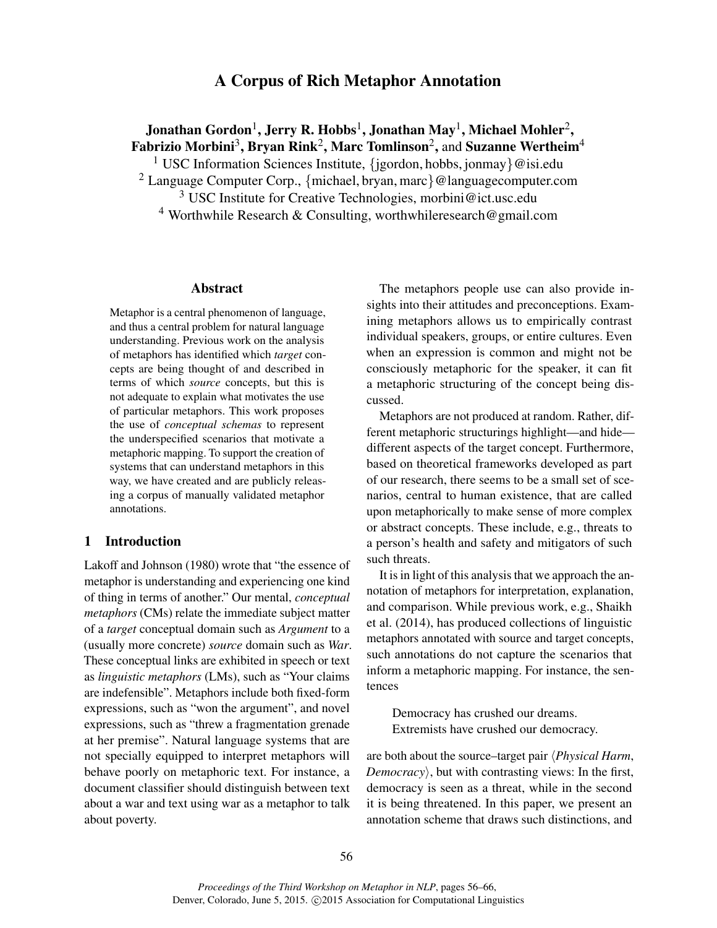# A Corpus of Rich Metaphor Annotation

# Jonathan Gordon $^1$ , Jerry R. Hobbs $^1$ , Jonathan May $^1$ , Michael Mohler $^2$ , Fabrizio Morbini $^3$ , Bryan Rink $^2$ , Marc Tomlinson $^2$ , and Suzanne Wertheim $^4$

<sup>1</sup> USC Information Sciences Institute, {jgordon, hobbs, jonmay}@isi.edu

<sup>2</sup> Language Computer Corp., {michael, bryan, marc}@languagecomputer.com

<sup>3</sup> USC Institute for Creative Technologies, morbini@ict.usc.edu

<sup>4</sup> Worthwhile Research & Consulting, worthwhileresearch@gmail.com

### Abstract

Metaphor is a central phenomenon of language, and thus a central problem for natural language understanding. Previous work on the analysis of metaphors has identified which *target* concepts are being thought of and described in terms of which *source* concepts, but this is not adequate to explain what motivates the use of particular metaphors. This work proposes the use of *conceptual schemas* to represent the underspecified scenarios that motivate a metaphoric mapping. To support the creation of systems that can understand metaphors in this way, we have created and are publicly releasing a corpus of manually validated metaphor annotations.

# 1 Introduction

Lakoff and Johnson (1980) wrote that "the essence of metaphor is understanding and experiencing one kind of thing in terms of another." Our mental, *conceptual metaphors* (CMs) relate the immediate subject matter of a *target* conceptual domain such as *Argument* to a (usually more concrete) *source* domain such as *War*. These conceptual links are exhibited in speech or text as *linguistic metaphors* (LMs), such as "Your claims are indefensible". Metaphors include both fixed-form expressions, such as "won the argument", and novel expressions, such as "threw a fragmentation grenade at her premise". Natural language systems that are not specially equipped to interpret metaphors will behave poorly on metaphoric text. For instance, a document classifier should distinguish between text about a war and text using war as a metaphor to talk about poverty.

The metaphors people use can also provide insights into their attitudes and preconceptions. Examining metaphors allows us to empirically contrast individual speakers, groups, or entire cultures. Even when an expression is common and might not be consciously metaphoric for the speaker, it can fit a metaphoric structuring of the concept being discussed.

Metaphors are not produced at random. Rather, different metaphoric structurings highlight—and hide different aspects of the target concept. Furthermore, based on theoretical frameworks developed as part of our research, there seems to be a small set of scenarios, central to human existence, that are called upon metaphorically to make sense of more complex or abstract concepts. These include, e.g., threats to a person's health and safety and mitigators of such such threats.

It is in light of this analysis that we approach the annotation of metaphors for interpretation, explanation, and comparison. While previous work, e.g., Shaikh et al. (2014), has produced collections of linguistic metaphors annotated with source and target concepts, such annotations do not capture the scenarios that inform a metaphoric mapping. For instance, the sentences

Democracy has crushed our dreams. Extremists have crushed our democracy.

are both about the source–target pair *\Physical Harm*, *Democracy*), but with contrasting views: In the first, democracy is seen as a threat, while in the second it is being threatened. In this paper, we present an annotation scheme that draws such distinctions, and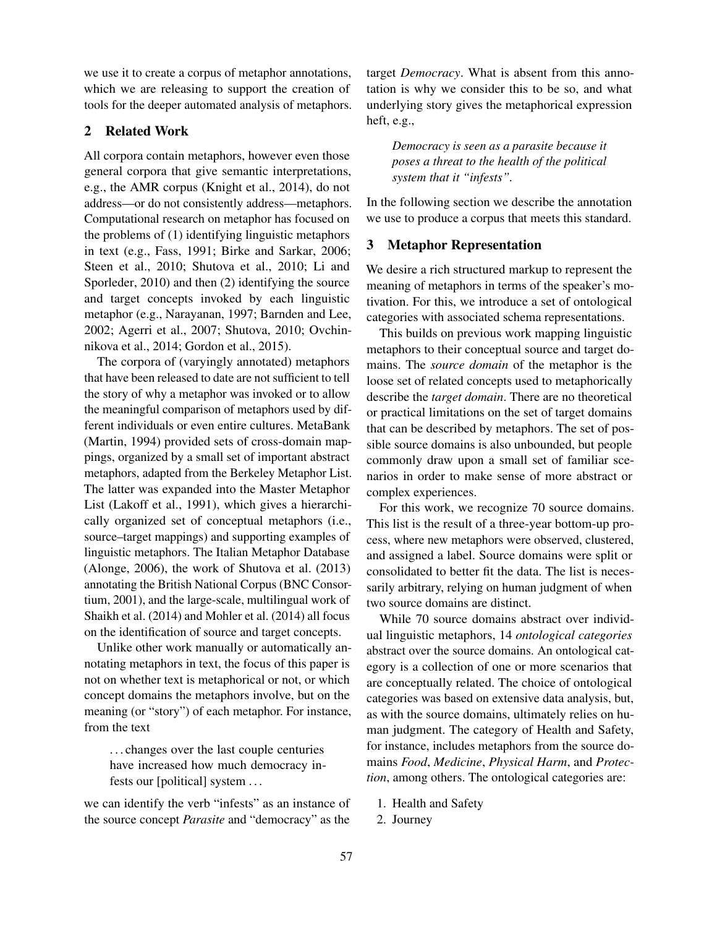we use it to create a corpus of metaphor annotations, which we are releasing to support the creation of tools for the deeper automated analysis of metaphors.

# 2 Related Work

All corpora contain metaphors, however even those general corpora that give semantic interpretations, e.g., the AMR corpus (Knight et al., 2014), do not address—or do not consistently address—metaphors. Computational research on metaphor has focused on the problems of (1) identifying linguistic metaphors in text (e.g., Fass, 1991; Birke and Sarkar, 2006; Steen et al., 2010; Shutova et al., 2010; Li and Sporleder, 2010) and then (2) identifying the source and target concepts invoked by each linguistic metaphor (e.g., Narayanan, 1997; Barnden and Lee, 2002; Agerri et al., 2007; Shutova, 2010; Ovchinnikova et al., 2014; Gordon et al., 2015).

The corpora of (varyingly annotated) metaphors that have been released to date are not sufficient to tell the story of why a metaphor was invoked or to allow the meaningful comparison of metaphors used by different individuals or even entire cultures. MetaBank (Martin, 1994) provided sets of cross-domain mappings, organized by a small set of important abstract metaphors, adapted from the Berkeley Metaphor List. The latter was expanded into the Master Metaphor List (Lakoff et al., 1991), which gives a hierarchically organized set of conceptual metaphors (i.e., source–target mappings) and supporting examples of linguistic metaphors. The Italian Metaphor Database (Alonge, 2006), the work of Shutova et al. (2013) annotating the British National Corpus (BNC Consortium, 2001), and the large-scale, multilingual work of Shaikh et al. (2014) and Mohler et al. (2014) all focus on the identification of source and target concepts.

Unlike other work manually or automatically annotating metaphors in text, the focus of this paper is not on whether text is metaphorical or not, or which concept domains the metaphors involve, but on the meaning (or "story") of each metaphor. For instance, from the text

. . . changes over the last couple centuries have increased how much democracy infests our [political] system . . .

we can identify the verb "infests" as an instance of the source concept *Parasite* and "democracy" as the

target *Democracy*. What is absent from this annotation is why we consider this to be so, and what underlying story gives the metaphorical expression heft, e.g.,

*Democracy is seen as a parasite because it poses a threat to the health of the political system that it "infests".*

In the following section we describe the annotation we use to produce a corpus that meets this standard.

### 3 Metaphor Representation

We desire a rich structured markup to represent the meaning of metaphors in terms of the speaker's motivation. For this, we introduce a set of ontological categories with associated schema representations.

This builds on previous work mapping linguistic metaphors to their conceptual source and target domains. The *source domain* of the metaphor is the loose set of related concepts used to metaphorically describe the *target domain*. There are no theoretical or practical limitations on the set of target domains that can be described by metaphors. The set of possible source domains is also unbounded, but people commonly draw upon a small set of familiar scenarios in order to make sense of more abstract or complex experiences.

For this work, we recognize 70 source domains. This list is the result of a three-year bottom-up process, where new metaphors were observed, clustered, and assigned a label. Source domains were split or consolidated to better fit the data. The list is necessarily arbitrary, relying on human judgment of when two source domains are distinct.

While 70 source domains abstract over individual linguistic metaphors, 14 *ontological categories* abstract over the source domains. An ontological category is a collection of one or more scenarios that are conceptually related. The choice of ontological categories was based on extensive data analysis, but, as with the source domains, ultimately relies on human judgment. The category of Health and Safety, for instance, includes metaphors from the source domains *Food*, *Medicine*, *Physical Harm*, and *Protection*, among others. The ontological categories are:

- 1. Health and Safety
- 2. Journey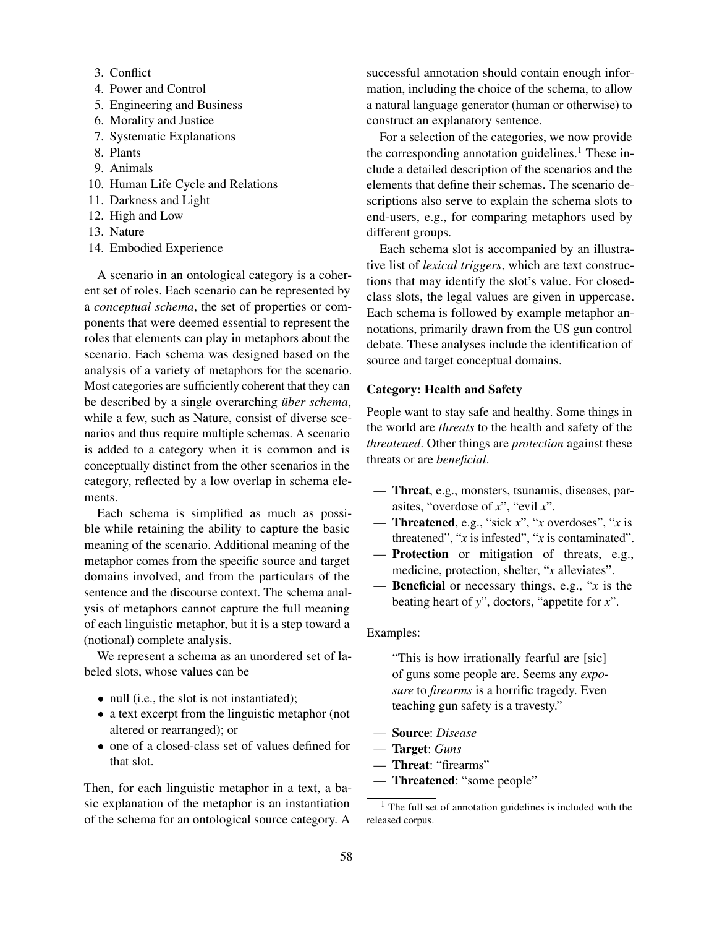- 3. Conflict
- 4. Power and Control
- 5. Engineering and Business
- 6. Morality and Justice
- 7. Systematic Explanations
- 8. Plants
- 9. Animals
- 10. Human Life Cycle and Relations
- 11. Darkness and Light
- 12. High and Low
- 13. Nature
- 14. Embodied Experience

A scenario in an ontological category is a coherent set of roles. Each scenario can be represented by a *conceptual schema*, the set of properties or components that were deemed essential to represent the roles that elements can play in metaphors about the scenario. Each schema was designed based on the analysis of a variety of metaphors for the scenario. Most categories are sufficiently coherent that they can be described by a single overarching *über schema*, while a few, such as Nature, consist of diverse scenarios and thus require multiple schemas. A scenario is added to a category when it is common and is conceptually distinct from the other scenarios in the category, reflected by a low overlap in schema elements.

Each schema is simplified as much as possible while retaining the ability to capture the basic meaning of the scenario. Additional meaning of the metaphor comes from the specific source and target domains involved, and from the particulars of the sentence and the discourse context. The schema analysis of metaphors cannot capture the full meaning of each linguistic metaphor, but it is a step toward a (notional) complete analysis.

We represent a schema as an unordered set of labeled slots, whose values can be

- null (i.e., the slot is not instantiated);
- a text excerpt from the linguistic metaphor (not altered or rearranged); or
- one of a closed-class set of values defined for that slot.

Then, for each linguistic metaphor in a text, a basic explanation of the metaphor is an instantiation of the schema for an ontological source category. A

successful annotation should contain enough information, including the choice of the schema, to allow a natural language generator (human or otherwise) to construct an explanatory sentence.

For a selection of the categories, we now provide the corresponding annotation guidelines. $<sup>1</sup>$  These in-</sup> clude a detailed description of the scenarios and the elements that define their schemas. The scenario descriptions also serve to explain the schema slots to end-users, e.g., for comparing metaphors used by different groups.

Each schema slot is accompanied by an illustrative list of *lexical triggers*, which are text constructions that may identify the slot's value. For closedclass slots, the legal values are given in uppercase. Each schema is followed by example metaphor annotations, primarily drawn from the US gun control debate. These analyses include the identification of source and target conceptual domains.

### Category: Health and Safety

People want to stay safe and healthy. Some things in the world are *threats* to the health and safety of the *threatened*. Other things are *protection* against these threats or are *beneficial*.

- Threat, e.g., monsters, tsunamis, diseases, parasites, "overdose of *x*", "evil *x*".
- Threatened, e.g., "sick *x*", "*x* overdoses", "*x* is threatened", "*x* is infested", "*x* is contaminated".
- Protection or mitigation of threats, e.g., medicine, protection, shelter, "*x* alleviates".
- Beneficial or necessary things, e.g., "*x* is the beating heart of *y*", doctors, "appetite for *x*".

#### Examples:

"This is how irrationally fearful are [sic] of guns some people are. Seems any *exposure* to *firearms* is a horrific tragedy. Even teaching gun safety is a travesty."

- Source: *Disease*
- Target: *Guns*
- Threat: "firearms"
- Threatened: "some people"

<sup>&</sup>lt;sup>1</sup> The full set of annotation guidelines is included with the released corpus.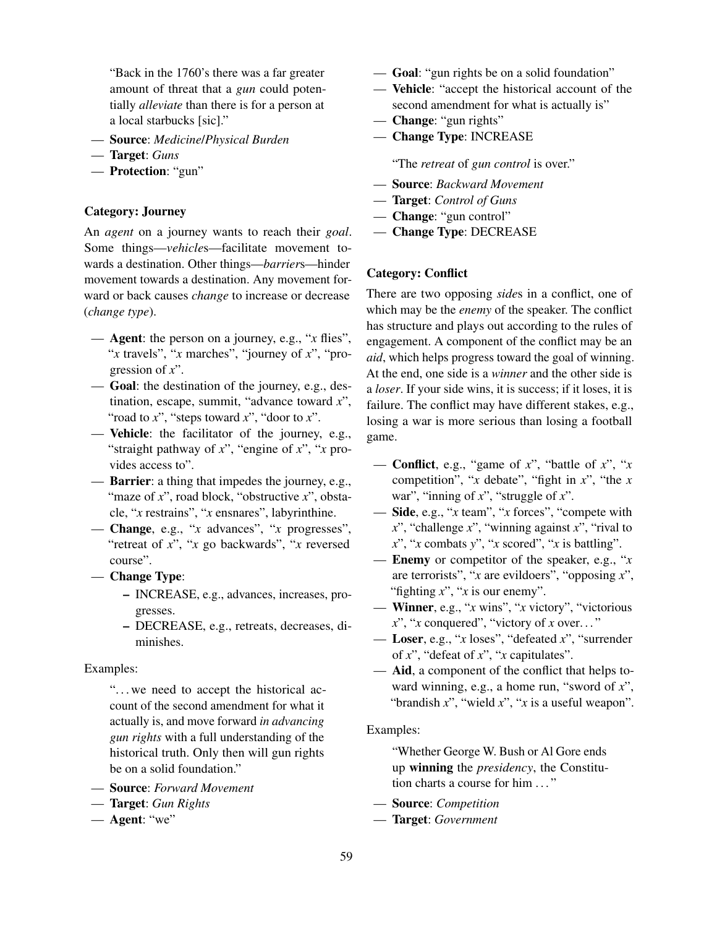"Back in the 1760's there was a far greater amount of threat that a *gun* could potentially *alleviate* than there is for a person at a local starbucks [sic]."

- Source: *Medicine*/*Physical Burden*
- Target: *Guns*
- Protection: "gun"

## Category: Journey

An *agent* on a journey wants to reach their *goal*. Some things—*vehicle*s—facilitate movement towards a destination. Other things—*barrier*s—hinder movement towards a destination. Any movement forward or back causes *change* to increase or decrease (*change type*).

- Agent: the person on a journey, e.g., "*x* flies", "*x* travels", "*x* marches", "journey of *x*", "progression of *x*".
- Goal: the destination of the journey, e.g., destination, escape, summit, "advance toward *x*", "road to *x*", "steps toward *x*", "door to *x*".
- Vehicle: the facilitator of the journey, e.g., "straight pathway of *x*", "engine of *x*", "*x* provides access to".
- Barrier: a thing that impedes the journey, e.g., "maze of *x*", road block, "obstructive *x*", obstacle, "*x* restrains", "*x* ensnares", labyrinthine.
- Change, e.g., "*x* advances", "*x* progresses", "retreat of *x*", "*x* go backwards", "*x* reversed course".
- Change Type:
	- INCREASE, e.g., advances, increases, progresses.
	- DECREASE, e.g., retreats, decreases, diminishes.

### Examples:

"... we need to accept the historical account of the second amendment for what it actually is, and move forward *in advancing gun rights* with a full understanding of the historical truth. Only then will gun rights be on a solid foundation."

- Source: *Forward Movement*
- Target: *Gun Rights*
- $-$  Agent: "we"
- Goal: "gun rights be on a solid foundation"
- Vehicle: "accept the historical account of the second amendment for what is actually is"
- Change: "gun rights"
- Change Type: INCREASE

"The *retreat* of *gun control* is over."

- Source: *Backward Movement*
- Target: *Control of Guns*
- Change: "gun control"
- Change Type: DECREASE

## Category: Conflict

There are two opposing *side*s in a conflict, one of which may be the *enemy* of the speaker. The conflict has structure and plays out according to the rules of engagement. A component of the conflict may be an *aid*, which helps progress toward the goal of winning. At the end, one side is a *winner* and the other side is a *loser*. If your side wins, it is success; if it loses, it is failure. The conflict may have different stakes, e.g., losing a war is more serious than losing a football game.

- Conflict, e.g., "game of *x*", "battle of *x*", "*x* competition", "*x* debate", "fight in *x*", "the *x* war", "inning of *x*", "struggle of *x*".
- Side, e.g., "*x* team", "*x* forces", "compete with *x*", "challenge *x*", "winning against *x*", "rival to *x*", "*x* combats *y*", "*x* scored", "*x* is battling".
- Enemy or competitor of the speaker, e.g., "*x* are terrorists", "*x* are evildoers", "opposing *x*", "fighting *x*", "*x* is our enemy".
- Winner, e.g., "*x* wins", "*x* victory", "victorious *x*", "*x* conquered", "victory of *x* over. . . "
- Loser, e.g., "*x* loses", "defeated *x*", "surrender of *x*", "defeat of *x*", "*x* capitulates".
- Aid, a component of the conflict that helps toward winning, e.g., a home run, "sword of *x*", "brandish *x*", "wield *x*", "*x* is a useful weapon".

### Examples:

"Whether George W. Bush or Al Gore ends up winning the *presidency*, the Constitution charts a course for him . . . "

- Source: *Competition*
- Target: *Government*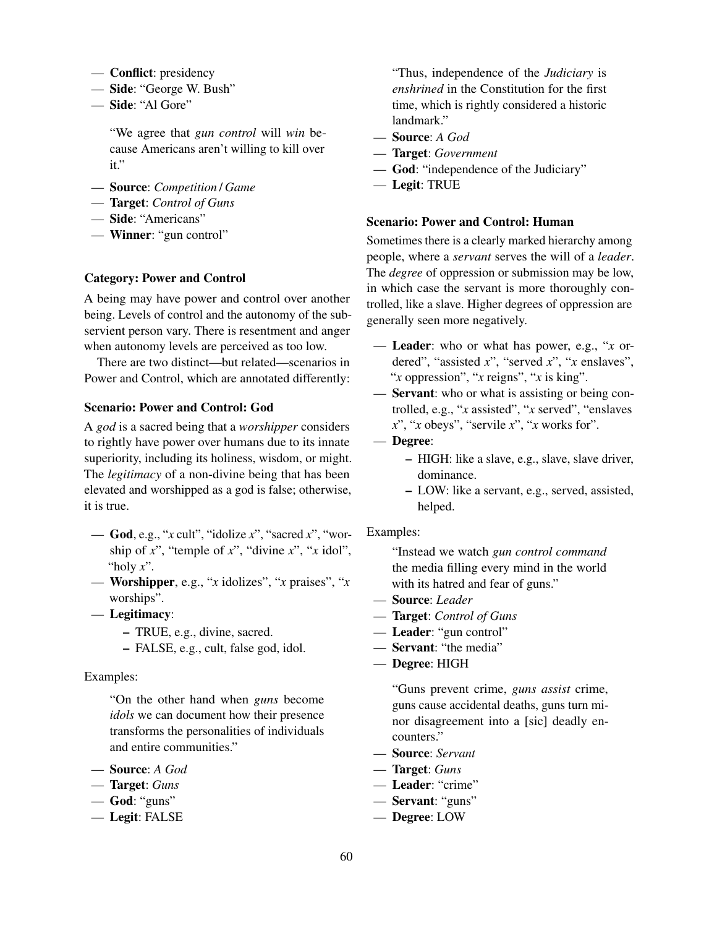- Conflict: presidency
- Side: "George W. Bush"
- Side: "Al Gore"

"We agree that *gun control* will *win* because Americans aren't willing to kill over it."

- Source: *Competition* / *Game*
- Target: *Control of Guns*
- Side: "Americans"
- Winner: "gun control"

### Category: Power and Control

A being may have power and control over another being. Levels of control and the autonomy of the subservient person vary. There is resentment and anger when autonomy levels are perceived as too low.

There are two distinct—but related—scenarios in Power and Control, which are annotated differently:

# Scenario: Power and Control: God

A *god* is a sacred being that a *worshipper* considers to rightly have power over humans due to its innate superiority, including its holiness, wisdom, or might. The *legitimacy* of a non-divine being that has been elevated and worshipped as a god is false; otherwise, it is true.

- God, e.g., "*x* cult", "idolize *x*", "sacred *x*", "worship of *x*", "temple of *x*", "divine *x*", "*x* idol", "holy *x*".
- Worshipper, e.g., "*x* idolizes", "*x* praises", "*x* worships".
- Legitimacy:
	- TRUE, e.g., divine, sacred.
	- FALSE, e.g., cult, false god, idol.

### Examples:

"On the other hand when *guns* become *idols* we can document how their presence transforms the personalities of individuals and entire communities."

- Source: *A God*
- Target: *Guns*
- God: "guns"
- Legit: FALSE

"Thus, independence of the *Judiciary* is *enshrined* in the Constitution for the first time, which is rightly considered a historic landmark."

- Source: *A God*
- Target: *Government*
- God: "independence of the Judiciary"
- Legit: TRUE

### Scenario: Power and Control: Human

Sometimes there is a clearly marked hierarchy among people, where a *servant* serves the will of a *leader*. The *degree* of oppression or submission may be low, in which case the servant is more thoroughly controlled, like a slave. Higher degrees of oppression are generally seen more negatively.

— Leader: who or what has power, e.g., "*x* ordered", "assisted *x*", "served *x*", "*x* enslaves", "*x* oppression", "*x* reigns", "*x* is king".

— Servant: who or what is assisting or being controlled, e.g., "*x* assisted", "*x* served", "enslaves *x*", "*x* obeys", "servile *x*", "*x* works for".

- Degree:
	- HIGH: like a slave, e.g., slave, slave driver, dominance.
	- LOW: like a servant, e.g., served, assisted, helped.

#### Examples:

"Instead we watch *gun control command* the media filling every mind in the world with its hatred and fear of guns."

- Source: *Leader*
- Target: *Control of Guns*
- Leader: "gun control"
- Servant: "the media"
- Degree: HIGH

"Guns prevent crime, *guns assist* crime, guns cause accidental deaths, guns turn minor disagreement into a [sic] deadly encounters."

- Source: *Servant*
- Target: *Guns*
- Leader: "crime"
- Servant: "guns"
- Degree: LOW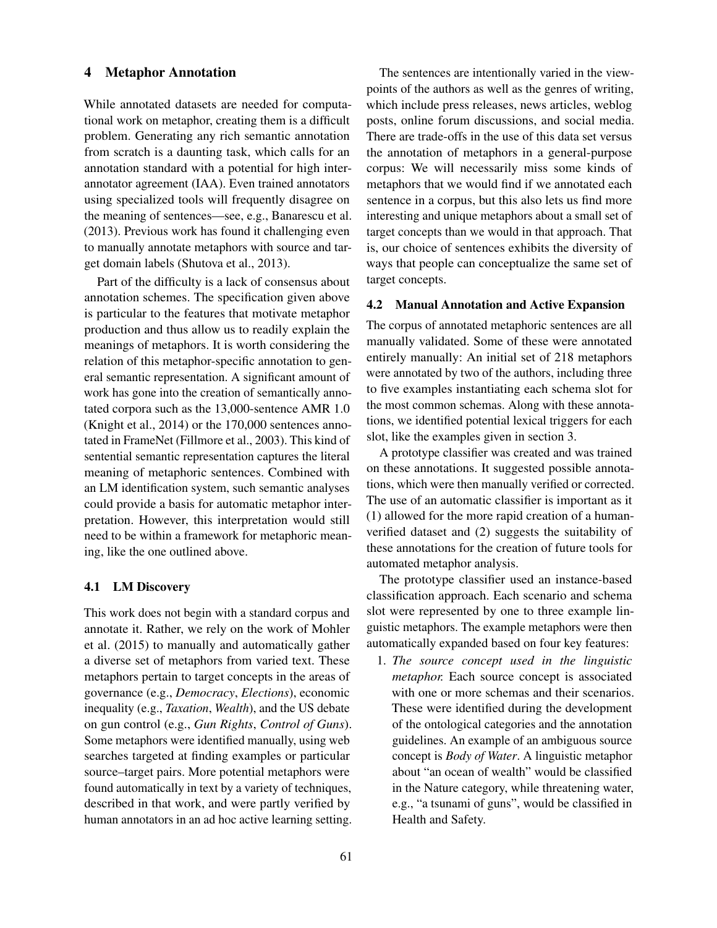### 4 Metaphor Annotation

While annotated datasets are needed for computational work on metaphor, creating them is a difficult problem. Generating any rich semantic annotation from scratch is a daunting task, which calls for an annotation standard with a potential for high interannotator agreement (IAA). Even trained annotators using specialized tools will frequently disagree on the meaning of sentences—see, e.g., Banarescu et al. (2013). Previous work has found it challenging even to manually annotate metaphors with source and target domain labels (Shutova et al., 2013).

Part of the difficulty is a lack of consensus about annotation schemes. The specification given above is particular to the features that motivate metaphor production and thus allow us to readily explain the meanings of metaphors. It is worth considering the relation of this metaphor-specific annotation to general semantic representation. A significant amount of work has gone into the creation of semantically annotated corpora such as the 13,000-sentence AMR 1.0 (Knight et al., 2014) or the 170,000 sentences annotated in FrameNet (Fillmore et al., 2003). This kind of sentential semantic representation captures the literal meaning of metaphoric sentences. Combined with an LM identification system, such semantic analyses could provide a basis for automatic metaphor interpretation. However, this interpretation would still need to be within a framework for metaphoric meaning, like the one outlined above.

### 4.1 LM Discovery

This work does not begin with a standard corpus and annotate it. Rather, we rely on the work of Mohler et al. (2015) to manually and automatically gather a diverse set of metaphors from varied text. These metaphors pertain to target concepts in the areas of governance (e.g., *Democracy*, *Elections*), economic inequality (e.g., *Taxation*, *Wealth*), and the US debate on gun control (e.g., *Gun Rights*, *Control of Guns*). Some metaphors were identified manually, using web searches targeted at finding examples or particular source–target pairs. More potential metaphors were found automatically in text by a variety of techniques, described in that work, and were partly verified by human annotators in an ad hoc active learning setting.

The sentences are intentionally varied in the viewpoints of the authors as well as the genres of writing, which include press releases, news articles, weblog posts, online forum discussions, and social media. There are trade-offs in the use of this data set versus the annotation of metaphors in a general-purpose corpus: We will necessarily miss some kinds of metaphors that we would find if we annotated each sentence in a corpus, but this also lets us find more interesting and unique metaphors about a small set of target concepts than we would in that approach. That is, our choice of sentences exhibits the diversity of ways that people can conceptualize the same set of target concepts.

#### 4.2 Manual Annotation and Active Expansion

The corpus of annotated metaphoric sentences are all manually validated. Some of these were annotated entirely manually: An initial set of 218 metaphors were annotated by two of the authors, including three to five examples instantiating each schema slot for the most common schemas. Along with these annotations, we identified potential lexical triggers for each slot, like the examples given in section 3.

A prototype classifier was created and was trained on these annotations. It suggested possible annotations, which were then manually verified or corrected. The use of an automatic classifier is important as it (1) allowed for the more rapid creation of a humanverified dataset and (2) suggests the suitability of these annotations for the creation of future tools for automated metaphor analysis.

The prototype classifier used an instance-based classification approach. Each scenario and schema slot were represented by one to three example linguistic metaphors. The example metaphors were then automatically expanded based on four key features:

1. *The source concept used in the linguistic metaphor.* Each source concept is associated with one or more schemas and their scenarios. These were identified during the development of the ontological categories and the annotation guidelines. An example of an ambiguous source concept is *Body of Water*. A linguistic metaphor about "an ocean of wealth" would be classified in the Nature category, while threatening water, e.g., "a tsunami of guns", would be classified in Health and Safety.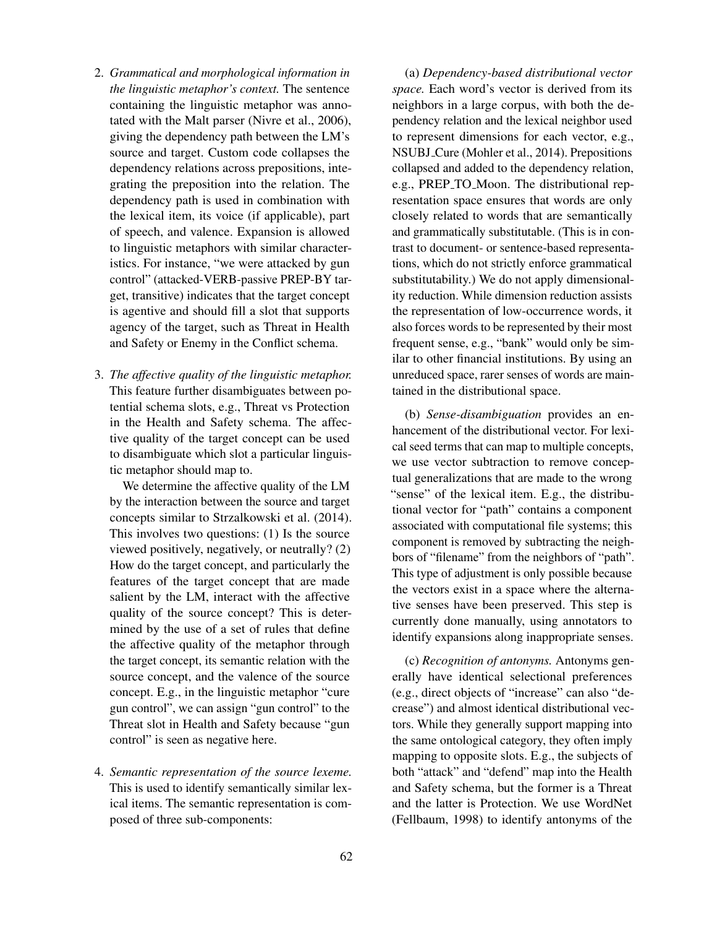- 2. *Grammatical and morphological information in the linguistic metaphor's context.* The sentence containing the linguistic metaphor was annotated with the Malt parser (Nivre et al., 2006), giving the dependency path between the LM's source and target. Custom code collapses the dependency relations across prepositions, integrating the preposition into the relation. The dependency path is used in combination with the lexical item, its voice (if applicable), part of speech, and valence. Expansion is allowed to linguistic metaphors with similar characteristics. For instance, "we were attacked by gun control" (attacked-VERB-passive PREP-BY target, transitive) indicates that the target concept is agentive and should fill a slot that supports agency of the target, such as Threat in Health and Safety or Enemy in the Conflict schema.
- 3. *The affective quality of the linguistic metaphor.* This feature further disambiguates between potential schema slots, e.g., Threat vs Protection in the Health and Safety schema. The affective quality of the target concept can be used to disambiguate which slot a particular linguistic metaphor should map to.

We determine the affective quality of the LM by the interaction between the source and target concepts similar to Strzalkowski et al. (2014). This involves two questions: (1) Is the source viewed positively, negatively, or neutrally? (2) How do the target concept, and particularly the features of the target concept that are made salient by the LM, interact with the affective quality of the source concept? This is determined by the use of a set of rules that define the affective quality of the metaphor through the target concept, its semantic relation with the source concept, and the valence of the source concept. E.g., in the linguistic metaphor "cure gun control", we can assign "gun control" to the Threat slot in Health and Safety because "gun control" is seen as negative here.

4. *Semantic representation of the source lexeme.* This is used to identify semantically similar lexical items. The semantic representation is composed of three sub-components:

(a) *Dependency-based distributional vector space.* Each word's vector is derived from its neighbors in a large corpus, with both the dependency relation and the lexical neighbor used to represent dimensions for each vector, e.g., NSUBJ Cure (Mohler et al., 2014). Prepositions collapsed and added to the dependency relation, e.g., PREP<sub>TO</sub>Moon. The distributional representation space ensures that words are only closely related to words that are semantically and grammatically substitutable. (This is in contrast to document- or sentence-based representations, which do not strictly enforce grammatical substitutability.) We do not apply dimensionality reduction. While dimension reduction assists the representation of low-occurrence words, it also forces words to be represented by their most frequent sense, e.g., "bank" would only be similar to other financial institutions. By using an unreduced space, rarer senses of words are maintained in the distributional space.

(b) *Sense-disambiguation* provides an enhancement of the distributional vector. For lexical seed terms that can map to multiple concepts, we use vector subtraction to remove conceptual generalizations that are made to the wrong "sense" of the lexical item. E.g., the distributional vector for "path" contains a component associated with computational file systems; this component is removed by subtracting the neighbors of "filename" from the neighbors of "path". This type of adjustment is only possible because the vectors exist in a space where the alternative senses have been preserved. This step is currently done manually, using annotators to identify expansions along inappropriate senses.

(c) *Recognition of antonyms.* Antonyms generally have identical selectional preferences (e.g., direct objects of "increase" can also "decrease") and almost identical distributional vectors. While they generally support mapping into the same ontological category, they often imply mapping to opposite slots. E.g., the subjects of both "attack" and "defend" map into the Health and Safety schema, but the former is a Threat and the latter is Protection. We use WordNet (Fellbaum, 1998) to identify antonyms of the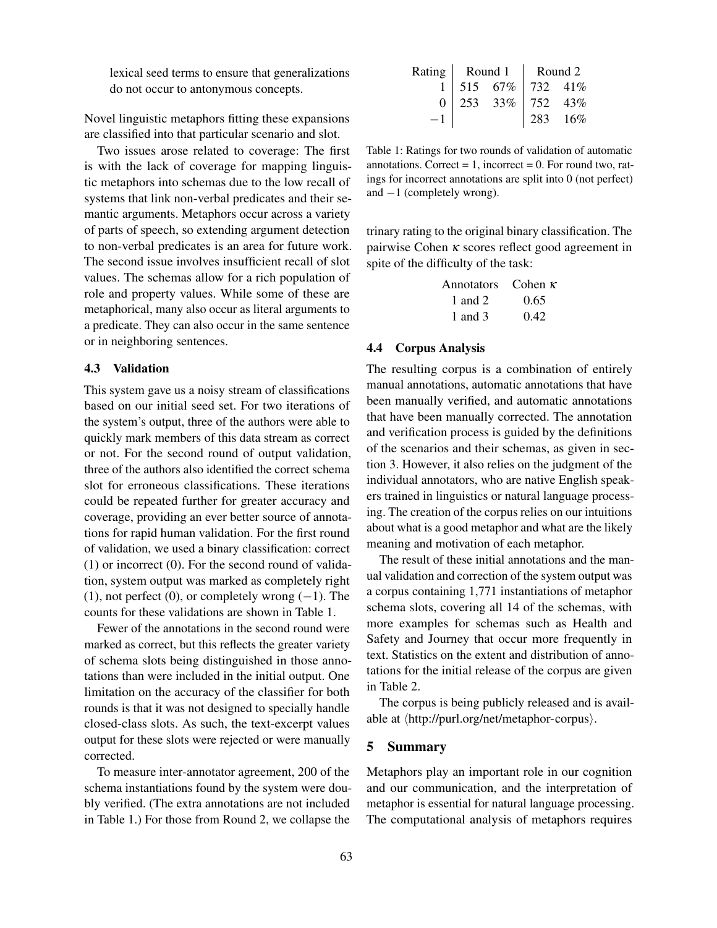lexical seed terms to ensure that generalizations do not occur to antonymous concepts.

Novel linguistic metaphors fitting these expansions are classified into that particular scenario and slot.

Two issues arose related to coverage: The first is with the lack of coverage for mapping linguistic metaphors into schemas due to the low recall of systems that link non-verbal predicates and their semantic arguments. Metaphors occur across a variety of parts of speech, so extending argument detection to non-verbal predicates is an area for future work. The second issue involves insufficient recall of slot values. The schemas allow for a rich population of role and property values. While some of these are metaphorical, many also occur as literal arguments to a predicate. They can also occur in the same sentence or in neighboring sentences.

### 4.3 Validation

This system gave us a noisy stream of classifications based on our initial seed set. For two iterations of the system's output, three of the authors were able to quickly mark members of this data stream as correct or not. For the second round of output validation, three of the authors also identified the correct schema slot for erroneous classifications. These iterations could be repeated further for greater accuracy and coverage, providing an ever better source of annotations for rapid human validation. For the first round of validation, we used a binary classification: correct (1) or incorrect (0). For the second round of validation, system output was marked as completely right (1), not perfect (0), or completely wrong  $(-1)$ . The counts for these validations are shown in Table 1.

Fewer of the annotations in the second round were marked as correct, but this reflects the greater variety of schema slots being distinguished in those annotations than were included in the initial output. One limitation on the accuracy of the classifier for both rounds is that it was not designed to specially handle closed-class slots. As such, the text-excerpt values output for these slots were rejected or were manually corrected.

To measure inter-annotator agreement, 200 of the schema instantiations found by the system were doubly verified. (The extra annotations are not included in Table 1.) For those from Round 2, we collapse the

|  |                                    | Rating   Round 1   Round 2 |     |  |
|--|------------------------------------|----------------------------|-----|--|
|  | 515 67% 732 41%<br>253 33% 752 43% |                            |     |  |
|  |                                    |                            |     |  |
|  |                                    | 283                        | 16% |  |

Table 1: Ratings for two rounds of validation of automatic annotations. Correct  $= 1$ , incorrect  $= 0$ . For round two, ratings for incorrect annotations are split into 0 (not perfect) and  $-1$  (completely wrong).

trinary rating to the original binary classification. The pairwise Cohen κ scores reflect good agreement in spite of the difficulty of the task:

| Annotators | Cohen $\kappa$ |
|------------|----------------|
| 1 and 2    | 0.65           |
| 1 and 3    | 0.42           |

#### 4.4 Corpus Analysis

The resulting corpus is a combination of entirely manual annotations, automatic annotations that have been manually verified, and automatic annotations that have been manually corrected. The annotation and verification process is guided by the definitions of the scenarios and their schemas, as given in section 3. However, it also relies on the judgment of the individual annotators, who are native English speakers trained in linguistics or natural language processing. The creation of the corpus relies on our intuitions about what is a good metaphor and what are the likely meaning and motivation of each metaphor.

The result of these initial annotations and the manual validation and correction of the system output was a corpus containing 1,771 instantiations of metaphor schema slots, covering all 14 of the schemas, with more examples for schemas such as Health and Safety and Journey that occur more frequently in text. Statistics on the extent and distribution of annotations for the initial release of the corpus are given in Table 2.

The corpus is being publicly released and is available at  $\langle$ http://purl.org/net/metaphor-corpus $\rangle$ .

# 5 Summary

Metaphors play an important role in our cognition and our communication, and the interpretation of metaphor is essential for natural language processing. The computational analysis of metaphors requires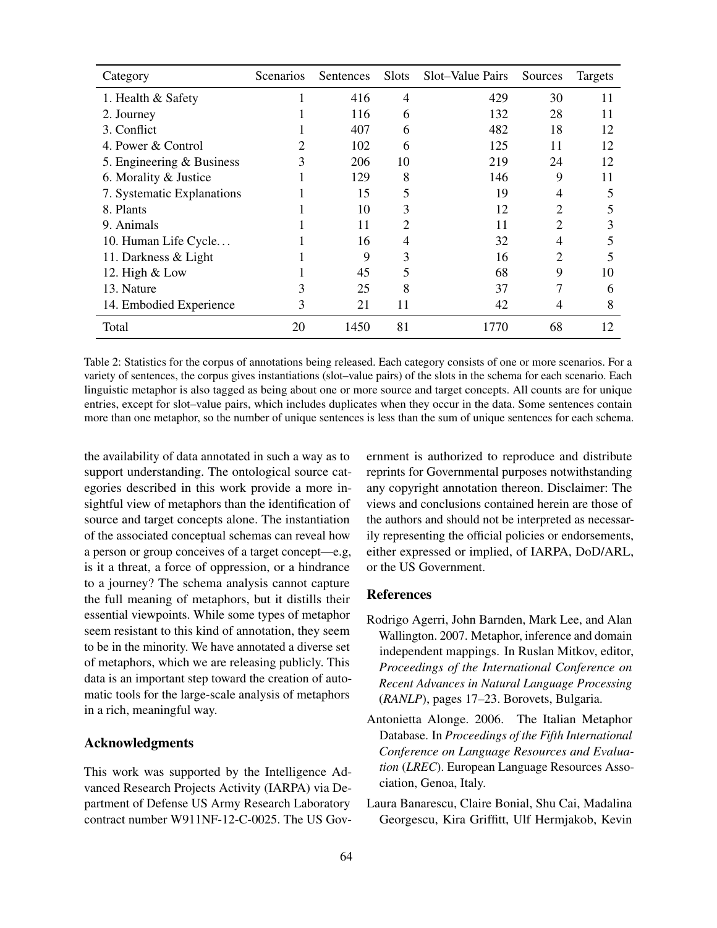| Category                    | Scenarios | Sentences | Slots | Slot-Value Pairs | Sources | Targets |
|-----------------------------|-----------|-----------|-------|------------------|---------|---------|
| 1. Health & Safety          |           | 416       | 4     | 429              | 30      | 11      |
| 2. Journey                  |           | 116       | 6     | 132              | 28      | 11      |
| 3. Conflict                 |           | 407       | 6     | 482              | 18      | 12      |
| 4. Power & Control          |           | 102       | 6     | 125              | 11      | 12      |
| 5. Engineering $&$ Business | 3         | 206       | 10    | 219              | 24      | 12      |
| 6. Morality & Justice       |           | 129       | 8     | 146              | 9       | 11      |
| 7. Systematic Explanations  |           | 15        | 5     | 19               | 4       | 5       |
| 8. Plants                   |           | 10        | 3     | 12               | 2       |         |
| 9. Animals                  |           | 11        |       | 11               | 2       | 3       |
| 10. Human Life Cycle        |           | 16        | 4     | 32               | 4       | 5       |
| 11. Darkness & Light        |           | 9         | 3     | 16               | 2       | 5       |
| 12. High & Low              |           | 45        | 5     | 68               | 9       | 10      |
| 13. Nature                  | 3         | 25        | 8     | 37               | 7       | 6       |
| 14. Embodied Experience     | 3         | 21        | 11    | 42               | 4       | 8       |
| Total                       | 20        | 1450      | 81    | 1770             | 68      | 12      |

Table 2: Statistics for the corpus of annotations being released. Each category consists of one or more scenarios. For a variety of sentences, the corpus gives instantiations (slot–value pairs) of the slots in the schema for each scenario. Each linguistic metaphor is also tagged as being about one or more source and target concepts. All counts are for unique entries, except for slot–value pairs, which includes duplicates when they occur in the data. Some sentences contain more than one metaphor, so the number of unique sentences is less than the sum of unique sentences for each schema.

the availability of data annotated in such a way as to support understanding. The ontological source categories described in this work provide a more insightful view of metaphors than the identification of source and target concepts alone. The instantiation of the associated conceptual schemas can reveal how a person or group conceives of a target concept—e.g, is it a threat, a force of oppression, or a hindrance to a journey? The schema analysis cannot capture the full meaning of metaphors, but it distills their essential viewpoints. While some types of metaphor seem resistant to this kind of annotation, they seem to be in the minority. We have annotated a diverse set of metaphors, which we are releasing publicly. This data is an important step toward the creation of automatic tools for the large-scale analysis of metaphors in a rich, meaningful way.

### Acknowledgments

This work was supported by the Intelligence Advanced Research Projects Activity (IARPA) via Department of Defense US Army Research Laboratory contract number W911NF-12-C-0025. The US Government is authorized to reproduce and distribute reprints for Governmental purposes notwithstanding any copyright annotation thereon. Disclaimer: The views and conclusions contained herein are those of the authors and should not be interpreted as necessarily representing the official policies or endorsements, either expressed or implied, of IARPA, DoD/ARL, or the US Government.

### References

- Rodrigo Agerri, John Barnden, Mark Lee, and Alan Wallington. 2007. Metaphor, inference and domain independent mappings. In Ruslan Mitkov, editor, *Proceedings of the International Conference on Recent Advances in Natural Language Processing* (*RANLP*), pages 17–23. Borovets, Bulgaria.
- Antonietta Alonge. 2006. The Italian Metaphor Database. In *Proceedings of the Fifth International Conference on Language Resources and Evaluation* (*LREC*). European Language Resources Association, Genoa, Italy.
- Laura Banarescu, Claire Bonial, Shu Cai, Madalina Georgescu, Kira Griffitt, Ulf Hermjakob, Kevin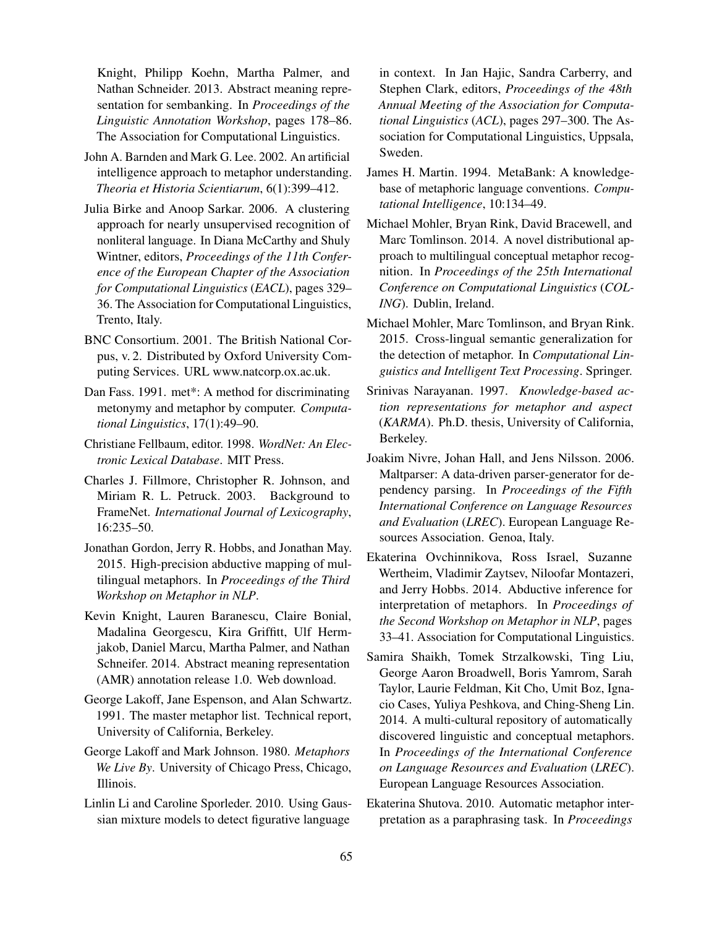Knight, Philipp Koehn, Martha Palmer, and Nathan Schneider. 2013. Abstract meaning representation for sembanking. In *Proceedings of the Linguistic Annotation Workshop*, pages 178–86. The Association for Computational Linguistics.

- John A. Barnden and Mark G. Lee. 2002. An artificial intelligence approach to metaphor understanding. *Theoria et Historia Scientiarum*, 6(1):399–412.
- Julia Birke and Anoop Sarkar. 2006. A clustering approach for nearly unsupervised recognition of nonliteral language. In Diana McCarthy and Shuly Wintner, editors, *Proceedings of the 11th Conference of the European Chapter of the Association for Computational Linguistics* (*EACL*), pages 329– 36. The Association for Computational Linguistics, Trento, Italy.
- BNC Consortium. 2001. The British National Corpus, v. 2. Distributed by Oxford University Computing Services. URL www.natcorp.ox.ac.uk.
- Dan Fass. 1991. met\*: A method for discriminating metonymy and metaphor by computer. *Computational Linguistics*, 17(1):49–90.
- Christiane Fellbaum, editor. 1998. *WordNet: An Electronic Lexical Database*. MIT Press.
- Charles J. Fillmore, Christopher R. Johnson, and Miriam R. L. Petruck. 2003. Background to FrameNet. *International Journal of Lexicography*, 16:235–50.
- Jonathan Gordon, Jerry R. Hobbs, and Jonathan May. 2015. High-precision abductive mapping of multilingual metaphors. In *Proceedings of the Third Workshop on Metaphor in NLP*.
- Kevin Knight, Lauren Baranescu, Claire Bonial, Madalina Georgescu, Kira Griffitt, Ulf Hermjakob, Daniel Marcu, Martha Palmer, and Nathan Schneifer. 2014. Abstract meaning representation (AMR) annotation release 1.0. Web download.
- George Lakoff, Jane Espenson, and Alan Schwartz. 1991. The master metaphor list. Technical report, University of California, Berkeley.
- George Lakoff and Mark Johnson. 1980. *Metaphors We Live By*. University of Chicago Press, Chicago, Illinois.
- Linlin Li and Caroline Sporleder. 2010. Using Gaussian mixture models to detect figurative language

in context. In Jan Hajic, Sandra Carberry, and Stephen Clark, editors, *Proceedings of the 48th Annual Meeting of the Association for Computational Linguistics* (*ACL*), pages 297–300. The Association for Computational Linguistics, Uppsala, Sweden.

- James H. Martin. 1994. MetaBank: A knowledgebase of metaphoric language conventions. *Computational Intelligence*, 10:134–49.
- Michael Mohler, Bryan Rink, David Bracewell, and Marc Tomlinson. 2014. A novel distributional approach to multilingual conceptual metaphor recognition. In *Proceedings of the 25th International Conference on Computational Linguistics* (*COL-ING*). Dublin, Ireland.
- Michael Mohler, Marc Tomlinson, and Bryan Rink. 2015. Cross-lingual semantic generalization for the detection of metaphor. In *Computational Linguistics and Intelligent Text Processing*. Springer.
- Srinivas Narayanan. 1997. *Knowledge-based action representations for metaphor and aspect* (*KARMA*). Ph.D. thesis, University of California, Berkeley.
- Joakim Nivre, Johan Hall, and Jens Nilsson. 2006. Maltparser: A data-driven parser-generator for dependency parsing. In *Proceedings of the Fifth International Conference on Language Resources and Evaluation* (*LREC*). European Language Resources Association. Genoa, Italy.
- Ekaterina Ovchinnikova, Ross Israel, Suzanne Wertheim, Vladimir Zaytsev, Niloofar Montazeri, and Jerry Hobbs. 2014. Abductive inference for interpretation of metaphors. In *Proceedings of the Second Workshop on Metaphor in NLP*, pages 33–41. Association for Computational Linguistics.
- Samira Shaikh, Tomek Strzalkowski, Ting Liu, George Aaron Broadwell, Boris Yamrom, Sarah Taylor, Laurie Feldman, Kit Cho, Umit Boz, Ignacio Cases, Yuliya Peshkova, and Ching-Sheng Lin. 2014. A multi-cultural repository of automatically discovered linguistic and conceptual metaphors. In *Proceedings of the International Conference on Language Resources and Evaluation* (*LREC*). European Language Resources Association.
- Ekaterina Shutova. 2010. Automatic metaphor interpretation as a paraphrasing task. In *Proceedings*